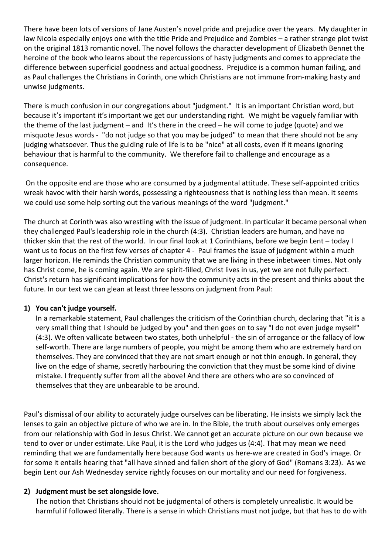There have been lots of versions of Jane Austen's novel pride and prejudice over the years. My daughter in law Nicola especially enjoys one with the title Pride and Prejudice and Zombies – a rather strange plot twist on the original 1813 romantic novel. The novel follows the character development of Elizabeth Bennet the heroine of the book who learns about the repercussions of hasty judgments and comes to appreciate the difference between superficial goodness and actual goodness. Prejudice is a common human failing, and as Paul challenges the Christians in Corinth, one which Christians are not immune from-making hasty and unwise judgments.

There is much confusion in our congregations about "judgment." It is an important Christian word, but because it's important it's important we get our understanding right. We might be vaguely familiar with the theme of the last judgment – and It's there in the creed – he will come to judge (quote) and we misquote Jesus words - "do not judge so that you may be judged" to mean that there should not be any judging whatsoever. Thus the guiding rule of life is to be "nice" at all costs, even if it means ignoring behaviour that is harmful to the community. We therefore fail to challenge and encourage as a consequence.

On the opposite end are those who are consumed by a judgmental attitude. These self-appointed critics wreak havoc with their harsh words, possessing a righteousness that is nothing less than mean. It seems we could use some help sorting out the various meanings of the word "judgment."

The church at Corinth was also wrestling with the issue of judgment. In particular it became personal when they challenged Paul's leadership role in the church (4:3). Christian leaders are human, and have no thicker skin that the rest of the world. In our final look at 1 Corinthians, before we begin Lent – today I want us to focus on the first few verses of chapter 4 - Paul frames the issue of judgment within a much larger horizon. He reminds the Christian community that we are living in these inbetween times. Not only has Christ come, he is coming again. We are spirit-filled, Christ lives in us, yet we are not fully perfect. Christ's return has significant implications for how the community acts in the present and thinks about the future. In our text we can glean at least three lessons on judgment from Paul:

## **1) You can't judge yourself.**

In a remarkable statement, Paul challenges the criticism of the Corinthian church, declaring that "it is a very small thing that I should be judged by you" and then goes on to say "I do not even judge myself" (4:3). We often vallicate between two states, both unhelpful - the sin of arrogance or the fallacy of low self-worth. There are large numbers of people, you might be among them who are extremely hard on themselves. They are convinced that they are not smart enough or not thin enough. In general, they live on the edge of shame, secretly harbouring the conviction that they must be some kind of divine mistake. I frequently suffer from all the above! And there are others who are so convinced of themselves that they are unbearable to be around.

Paul's dismissal of our ability to accurately judge ourselves can be liberating. He insists we simply lack the lenses to gain an objective picture of who we are in. In the Bible, the truth about ourselves only emerges from our relationship with God in Jesus Christ. We cannot get an accurate picture on our own because we tend to over or under estimate. Like Paul, it is the Lord who judges us (4:4). That may mean we need reminding that we are fundamentally here because God wants us here-we are created in God's image. Or for some it entails hearing that "all have sinned and fallen short of the glory of God" (Romans 3:23). As we begin Lent our Ash Wednesday service rightly focuses on our mortality and our need for forgiveness.

## **2) Judgment must be set alongside love.**

The notion that Christians should not be judgmental of others is completely unrealistic. It would be harmful if followed literally. There is a sense in which Christians must not judge, but that has to do with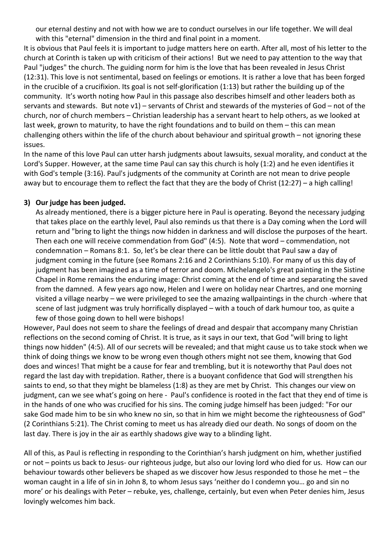our eternal destiny and not with how we are to conduct ourselves in our life together. We will deal with this "eternal" dimension in the third and final point in a moment.

It is obvious that Paul feels it is important to judge matters here on earth. After all, most of his letter to the church at Corinth is taken up with criticism of their actions! But we need to pay attention to the way that Paul "judges" the church. The guiding norm for him is the love that has been revealed in Jesus Christ (12:31). This love is not sentimental, based on feelings or emotions. It is rather a love that has been forged in the crucible of a crucifixion. Its goal is not self-glorification (1:13) but rather the building up of the community. It's worth noting how Paul in this passage also describes himself and other leaders both as servants and stewards. But note v1) – servants of Christ and stewards of the mysteries of God – not of the church, nor of church members – Christian leadership has a servant heart to help others, as we looked at last week, grown to maturity, to have the right foundations and to build on them – this can mean challenging others within the life of the church about behaviour and spiritual growth – not ignoring these issues.

In the name of this love Paul can utter harsh judgments about lawsuits, sexual morality, and conduct at the Lord's Supper. However, at the same time Paul can say this church is holy (1:2) and he even identifies it with God's temple (3:16). Paul's judgments of the community at Corinth are not mean to drive people away but to encourage them to reflect the fact that they are the body of Christ (12:27) – a high calling!

## **3) Our judge has been judged.**

As already mentioned, there is a bigger picture here in Paul is operating. Beyond the necessary judging that takes place on the earthly level, Paul also reminds us that there is a Day coming when the Lord will return and "bring to light the things now hidden in darkness and will disclose the purposes of the heart. Then each one will receive commendation from God" (4:5). Note that word – commendation, not condemnation – Romans 8:1. So, let's be clear there can be little doubt that Paul saw a day of judgment coming in the future (see Romans 2:16 and 2 Corinthians 5:10). For many of us this day of judgment has been imagined as a time of terror and doom. Michelangelo's great painting in the Sistine Chapel in Rome remains the enduring image: Christ coming at the end of time and separating the saved from the damned. A few years ago now, Helen and I were on holiday near Chartres, and one morning visited a village nearby – we were privileged to see the amazing wallpaintings in the church -where that scene of last judgment was truly horrifically displayed – with a touch of dark humour too, as quite a few of those going down to hell were bishops!

However, Paul does not seem to share the feelings of dread and despair that accompany many Christian reflections on the second coming of Christ. It is true, as it says in our text, that God "will bring to light things now hidden" (4:5). All of our secrets will be revealed; and that might cause us to take stock when we think of doing things we know to be wrong even though others might not see them, knowing that God does and winces! That might be a cause for fear and trembling, but it is noteworthy that Paul does not regard the last day with trepidation. Rather, there is a buoyant confidence that God will strengthen his saints to end, so that they might be blameless (1:8) as they are met by Christ. This changes our view on judgment, can we see what's going on here - Paul's confidence is rooted in the fact that they end of time is in the hands of one who was crucified for his sins. The coming judge himself has been judged: "For our sake God made him to be sin who knew no sin, so that in him we might become the righteousness of God" (2 Corinthians 5:21). The Christ coming to meet us has already died our death. No songs of doom on the last day. There is joy in the air as earthly shadows give way to a blinding light.

All of this, as Paul is reflecting in responding to the Corinthian's harsh judgment on him, whether justified or not – points us back to Jesus- our righteous judge, but also our loving lord who died for us. How can our behaviour towards other believers be shaped as we discover how Jesus responded to those he met – the woman caught in a life of sin in John 8, to whom Jesus says 'neither do I condemn you… go and sin no more' or his dealings with Peter – rebuke, yes, challenge, certainly, but even when Peter denies him, Jesus lovingly welcomes him back.